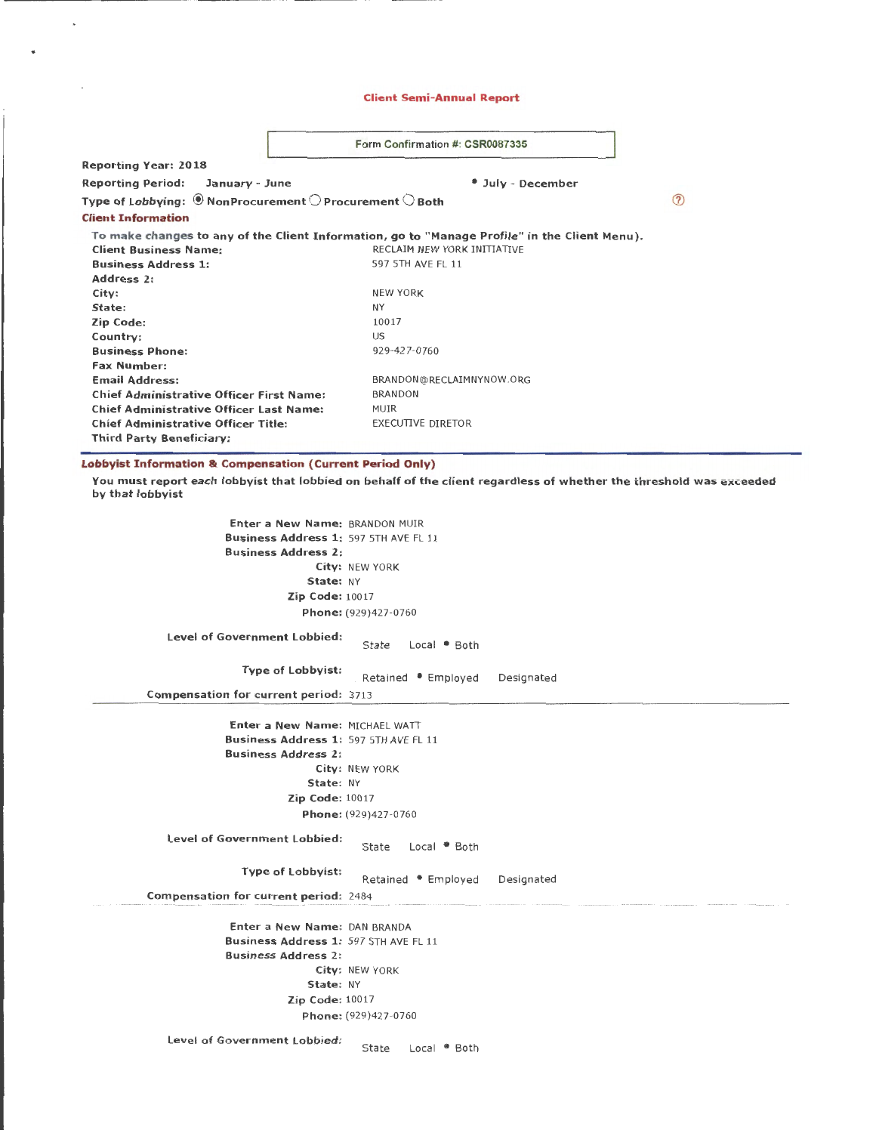## Client Semi-Annual Report

|                                                                                                           | Form Confirmation #: CSR0087335 |                                                                                               |  |  |  |
|-----------------------------------------------------------------------------------------------------------|---------------------------------|-----------------------------------------------------------------------------------------------|--|--|--|
| <b>Reporting Year: 2018</b>                                                                               |                                 |                                                                                               |  |  |  |
| <b>Reporting Period:</b><br>January - June                                                                |                                 | <sup>*</sup> July - December                                                                  |  |  |  |
| Type of Lobbying: $\textcircled{\tiny{\textsf{P}}}$ NonProcurement $\bigcirc$ Procurement $\bigcirc$ Both |                                 |                                                                                               |  |  |  |
| <b>Client Information</b>                                                                                 |                                 |                                                                                               |  |  |  |
|                                                                                                           |                                 | To make changes to any of the Client Information, go to "Manage Profile" in the Client Menu). |  |  |  |
| <b>Client Business Name:</b>                                                                              |                                 | RECLAIM NEW YORK INITIATIVE                                                                   |  |  |  |
| <b>Business Address 1:</b>                                                                                |                                 | 597 5TH AVE FL 11                                                                             |  |  |  |
| Address 2:                                                                                                |                                 |                                                                                               |  |  |  |
| City:                                                                                                     |                                 | <b>NEW YORK</b>                                                                               |  |  |  |
| State:                                                                                                    |                                 | NY                                                                                            |  |  |  |
| Zip Code:                                                                                                 |                                 | 10017                                                                                         |  |  |  |
| Country:                                                                                                  |                                 | US                                                                                            |  |  |  |
| <b>Business Phone:</b>                                                                                    |                                 | 929-427-0760                                                                                  |  |  |  |
| <b>Fax Number:</b>                                                                                        |                                 |                                                                                               |  |  |  |
| <b>Email Address:</b>                                                                                     |                                 | BRANDON@RECLAIMNYNOW.ORG                                                                      |  |  |  |
| <b>Chief Administrative Officer First Name:</b>                                                           |                                 | <b>BRANDON</b>                                                                                |  |  |  |
| <b>Chief Administrative Officer Last Name:</b>                                                            |                                 | <b>MUIR</b>                                                                                   |  |  |  |
| <b>Chief Administrative Officer Title:</b>                                                                |                                 | <b>EXECUTIVE DIRETOR</b>                                                                      |  |  |  |
| <b>Third Party Beneficiary:</b>                                                                           |                                 |                                                                                               |  |  |  |

# Lobbyist Information & Compensation (Current Period Only)

 $\ddot{\phantom{a}}$ 

 $\mathcal{A}$ 

 $\bullet$ 

You must report each lobbyist that lobbied on behalf of the client regardless of whether the threshold was exceeded by that lobbyist

| <b>Enter a New Name: BRANDON MUIR</b>        |                                  |            |
|----------------------------------------------|----------------------------------|------------|
| Business Address 1: 597 5TH AVE FL 11        |                                  |            |
| <b>Business Address 2:</b>                   |                                  |            |
|                                              | City: NEW YORK                   |            |
| State: NY                                    |                                  |            |
| <b>Zip Code: 10017</b>                       |                                  |            |
|                                              | Phone: (929)427-0760             |            |
| Level of Government Lobbied:                 | State<br>Local • Both            |            |
| <b>Type of Lobbyist:</b>                     | Retained • Employed              | Designated |
| Compensation for current period: 3713        |                                  |            |
|                                              |                                  |            |
| Enter a New Name: MICHAEL WATT               |                                  |            |
| <b>Business Address 1: 597 5TH AVE FL 11</b> |                                  |            |
| <b>Business Address 2:</b>                   |                                  |            |
|                                              | City: NEW YORK                   |            |
| State: NY                                    |                                  |            |
| <b>Zip Code: 10017</b>                       |                                  |            |
|                                              | Phone: (929)427-0760             |            |
| Level of Government Lobbied:                 | Local <sup>D</sup> Both<br>State |            |
| Type of Lobbyist:                            | Retained • Employed              | Designated |
| <b>Compensation for current period: 2484</b> |                                  |            |
|                                              |                                  |            |
| Enter a New Name: DAN BRANDA                 |                                  |            |
| Business Address 1: 597 5TH AVE FL 11        |                                  |            |
| <b>Business Address 2:</b>                   |                                  |            |
| State: NY                                    | City: NEW YORK                   |            |
| Zip Code: 10017                              |                                  |            |
|                                              |                                  |            |
|                                              | Phone: (929)427-0760             |            |
| Level of Government Lobbied:                 | State<br>Local <sup>®</sup> Both |            |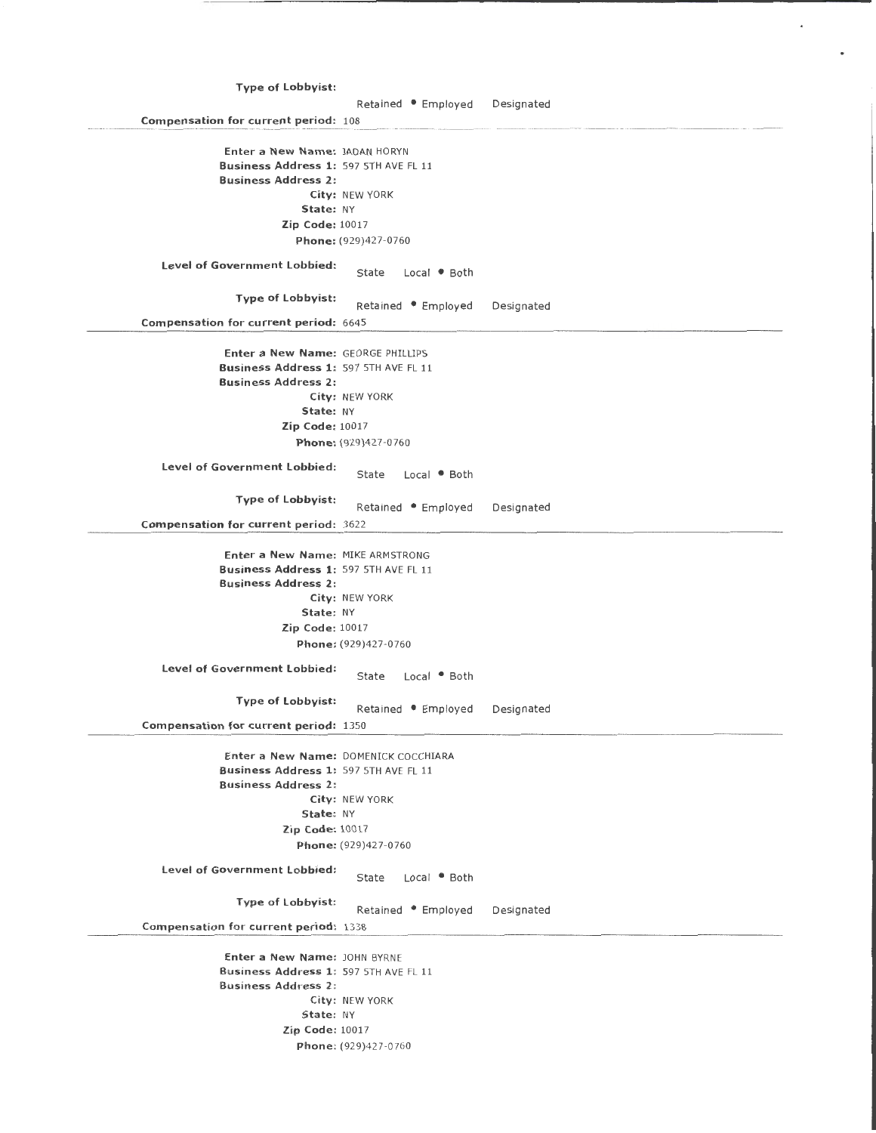| <b>Type of Lobbyist:</b>                                                                                                                                                            |                                                                                                                    |            |
|-------------------------------------------------------------------------------------------------------------------------------------------------------------------------------------|--------------------------------------------------------------------------------------------------------------------|------------|
| <b>Compensation for current period: 108</b>                                                                                                                                         | Retained • Employed Designated                                                                                     |            |
| Enter a New Name: JADAN HORYN<br>Business Address 1: 597 5TH AVE FL 11<br><b>Business Address 2:</b><br>State: NY<br><b>Zip Code: 10017</b>                                         | City: NEW YORK<br>Phone: (929)427-0760                                                                             |            |
| <b>Level of Government Lobbied:</b>                                                                                                                                                 | State<br>Local . Both                                                                                              |            |
| <b>Type of Lobbyist:</b><br><b>Compensation for current period: 6645</b>                                                                                                            | Retained • Employed                                                                                                | Designated |
| Enter a New Name: GEORGE PHILLIPS<br>Business Address 1: 597 5TH AVE FL 11<br><b>Business Address 2:</b><br>State: NY<br><b>Zip Code: 10017</b><br>Level of Government Lobbied:     | City: NEW YORK<br>Phone: (929)427-0760<br>Local Both<br>State                                                      |            |
| <b>Type of Lobbyist:</b><br><b>Compensation for current period: 3622</b>                                                                                                            | Retained . Employed                                                                                                | Designated |
| Enter a New Name: MIKE ARMSTRONG<br>Business Address 1: 597 5TH AVE FL 11<br><b>Business Address 2:</b><br>State: NY<br><b>Zip Code: 10017</b><br>Level of Government Lobbied:      | City: NEW YORK<br>Phone: (929)427-0760<br>State<br>Local • Both                                                    |            |
| <b>Type of Lobbyist:</b><br>Compensation for current period: 1350                                                                                                                   | Retained • Employed Designated                                                                                     |            |
| Business Address 1: 597 5TH AVE FL 11<br><b>Business Address 2:</b><br>State: NY<br>Zip Code: 10017<br>Level of Government Lobbied:                                                 | Enter a New Name: DOMENICK COCCHIARA<br>City: NEW YORK<br>Phone: (929)427-0760<br>State<br>Local <sup>●</sup> Both |            |
| <b>Type of Lobbyist:</b>                                                                                                                                                            | Retained . Employed                                                                                                | Designated |
| <b>Compensation for current period: 1338</b><br>Enter a New Name: JOHN BYRNE<br>Business Address 1: 597 5TH AVE FL 11<br><b>Business Address 2:</b><br>State: NY<br>Zip Code: 10017 | City: NEW YORK<br>Phone: (929)427-0760                                                                             |            |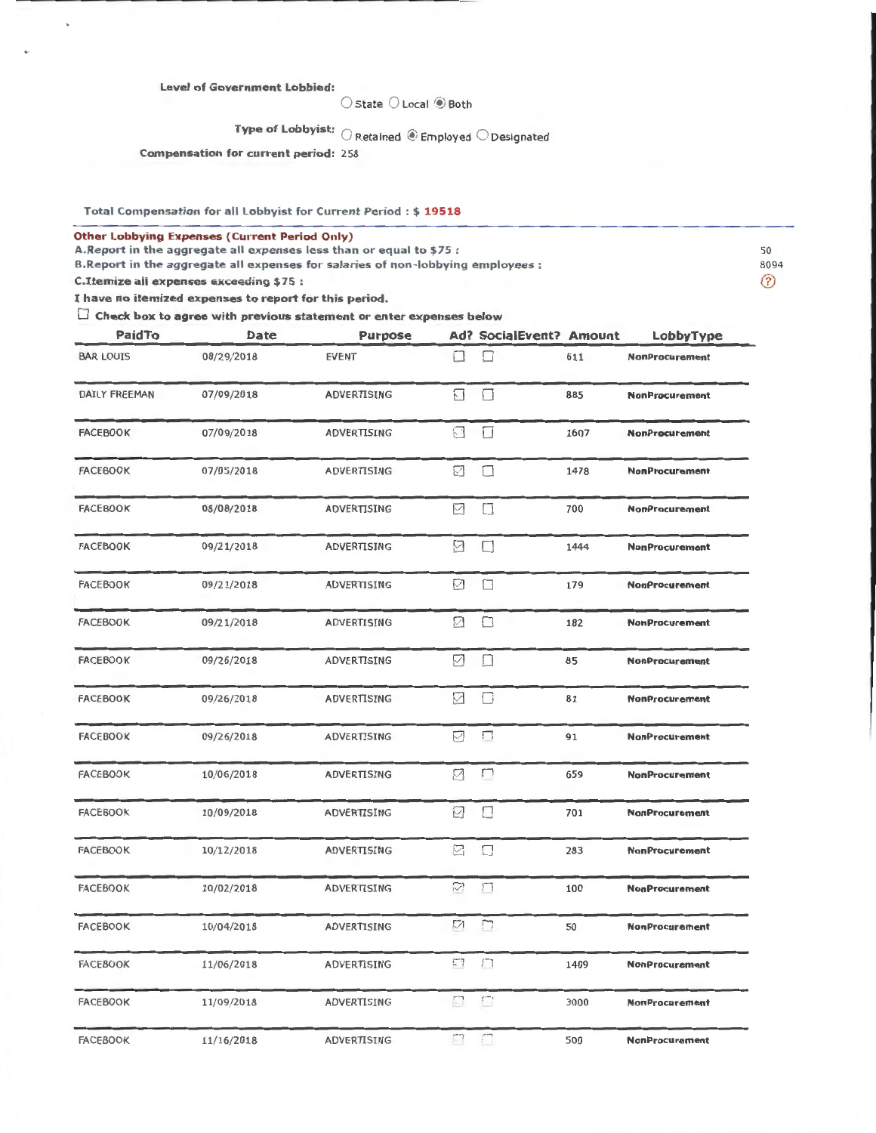## Level of Government Lobbied:

 $\bigcirc$  State  $\bigcirc$  Local  $\bigcirc$  Both

Type of Lobbyist:  $\bigcirc$  Retained  $\circledast$  Employed  $\bigcirc$  Designated

Compensation for current period: 258

Total Compensation for all Lobbyist for Current Period : \$ 19518

Other Lobbying Expenses (Current Period Only)

A.Report in the aggregate all expenses less than or equal to \$75 :<br>B.Report in the aggregate all expenses for salaries of non-lobbying employees : \$2094 \$3094

B.Report in the aggregate all expenses for salaries of non-lobbying employees : 8094

C.Itemize all expenses exceeding \$75 :

I have no itemized expenses to report for this period.

 $\Box$  Check box to agree with previous statement or enter expenses below

| PaidTo               | Date       | <b>Purpose</b>     |                    | <b>Ad? SocialEvent? Amount</b> |      | LobbyType             |
|----------------------|------------|--------------------|--------------------|--------------------------------|------|-----------------------|
| <b>BAR LOUIS</b>     | 08/29/2018 | <b>EVENT</b>       | П                  | □                              | 611  | <b>NonProcurement</b> |
| <b>DAILY FREEMAN</b> | 07/09/2018 | ADVERTISING        | $\Box$             | $\Box$                         | 885  | <b>NonProcurement</b> |
| <b>FACEBOOK</b>      | 07/09/2018 | ADVERTISING        | $\square$          | $\Box$                         | 1607 | <b>NonProcurement</b> |
| <b>FACEBOOK</b>      | 07/05/2018 | ADVERTISING        | ☑                  | □                              | 1478 | <b>NonProcurement</b> |
| <b>FACEBOOK</b>      | 08/08/2018 | ADVERTISING        | ☑                  | П                              | 700  | <b>NonProcurement</b> |
| <b>FACEBOOK</b>      | 09/21/2018 | ADVERTISING        | ☑                  | П                              | 1444 | <b>NonProcurement</b> |
| <b>FACEBOOK</b>      | 09/21/2018 | <b>ADVERTISING</b> | ☑                  | □                              | 179  | <b>NonProcurement</b> |
| <b>FACEBOOK</b>      | 09/21/2018 | ADVERTISING        | ☑                  | □                              | 182  | <b>NonProcurement</b> |
| <b>FACEBOOK</b>      | 09/26/2018 | ADVERTISING        | ☑                  | O                              | 85   | <b>NonProcurement</b> |
| <b>FACEBOOK</b>      | 09/26/2018 | ADVERTISING        | $\bigtriangledown$ | П                              | 81   | <b>NonProcurement</b> |
| <b>FACEBOOK</b>      | 09/26/2018 | ADVERTISING        | ☑                  | П                              | 91   | <b>NonProcurement</b> |
| <b>FACEBOOK</b>      | 10/06/2018 | <b>ADVERTISING</b> | 7                  | П                              | 659  | <b>NonProcurement</b> |
| <b>FACEBOOK</b>      | 10/09/2018 | ADVERTISING        | $\overline{\vee}$  | П                              | 701  | <b>NonProcurement</b> |
| <b>FACEBOOK</b>      | 10/12/2018 | ADVERTISING        | ☑                  | П                              | 283  | <b>NonProcurement</b> |
| <b>FACEBOOK</b>      | 10/02/2018 | ADVERTISING        | Ÿ,                 | П                              | 100  | <b>NonProcurement</b> |
| <b>FACEBOOK</b>      | 10/04/2018 | ADVERTISING        | N                  | $\Box$                         | 50   | <b>NonProcurement</b> |
| <b>FACEBOOK</b>      | 11/06/2018 | ADVERTISING        | $\mathbb{F}^n$     | П                              | 1409 | <b>NonProcurement</b> |
| <b>FACEBOOK</b>      | 11/09/2018 | ADVERTISING        | $\Box$             | $\Box$                         | 3000 | NonProcurement        |
| <b>FACEBOOK</b>      | 11/16/2018 | ADVERTISING        | $\Box$             | $\overline{\phantom{a}}$       | 500  | <b>NonProcurement</b> |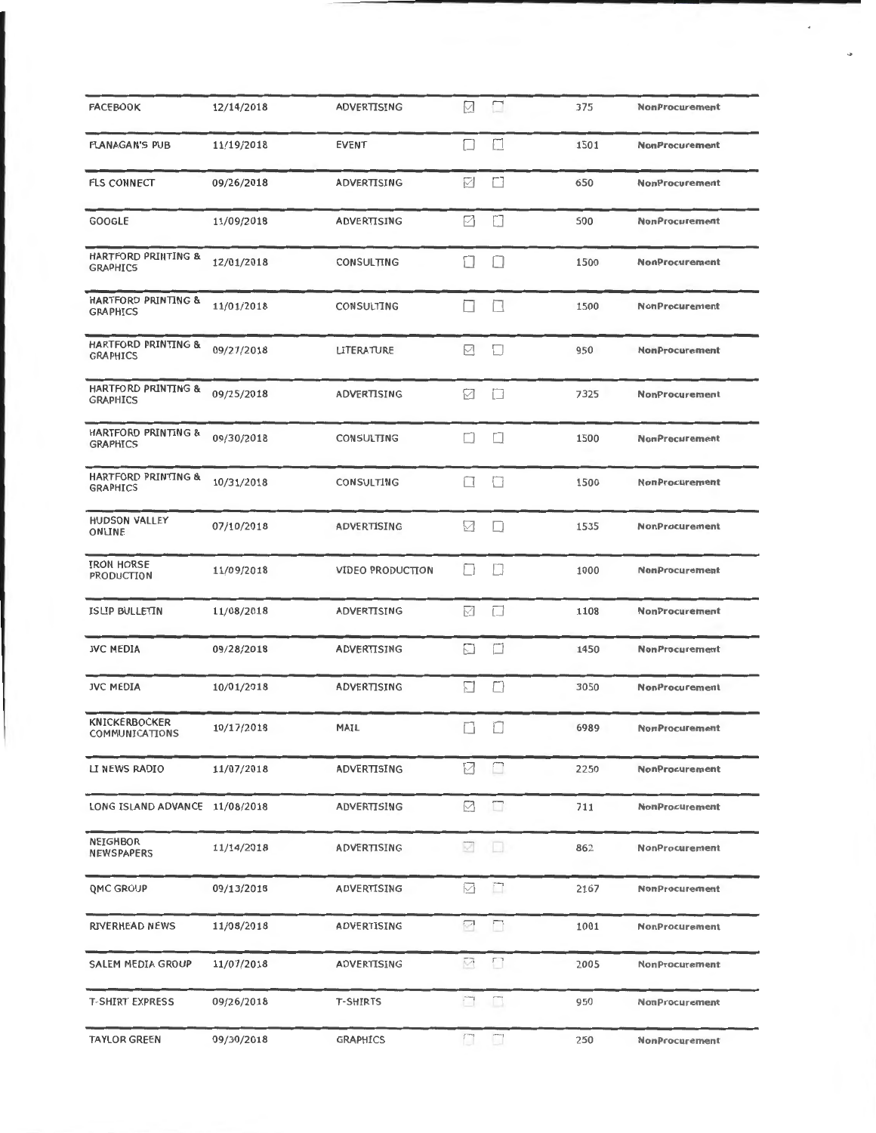| <b>FACEBOOK</b>                                   | 12/14/2018 | ADVERTISING             | $\vee$                   | □      | 375  | <b>NonProcurement</b> |  |
|---------------------------------------------------|------------|-------------------------|--------------------------|--------|------|-----------------------|--|
| <b>FLANAGAN'S PUB</b>                             | 11/19/2018 | <b>EVENT</b>            | □                        | П      | 1501 | <b>NonProcurement</b> |  |
| <b>FLS CONNECT</b>                                | 09/26/2018 | ADVERTISING             | ☑                        | П      | 650  | <b>NonProcurement</b> |  |
| <b>GOOGLE</b>                                     | 11/09/2018 | ADVERTISING             | ☑                        | П      | 500  | <b>NonProcurement</b> |  |
| <b>HARTFORD PRINTING &amp;</b><br><b>GRAPHICS</b> | 12/01/2018 | CONSULTING              | IJ                       | $\Box$ | 1500 | <b>NonProcurement</b> |  |
| HARTFORD PRINTING &<br><b>GRAPHICS</b>            | 11/01/2018 | CONSULTING              | П                        | $\Box$ | 1500 | <b>NonProcurement</b> |  |
| HARTFORD PRINTING &<br><b>GRAPHICS</b>            | 09/27/2018 | <b>LITERATURE</b>       | M                        | П      | 950  | <b>NonProcurement</b> |  |
| <b>HARTFORD PRINTING &amp;</b><br><b>GRAPHICS</b> | 09/25/2018 | ADVERTISING             | M                        | $\Box$ | 7325 | <b>NonProcurement</b> |  |
| HARTFORD PRINTING &<br><b>GRAPHICS</b>            | 09/30/2018 | CONSULTING              | $\Box$                   | $\Box$ | 1500 | <b>NonProcurement</b> |  |
| <b>HARTFORD PRINTING &amp;</b><br><b>GRAPHICS</b> | 10/31/2018 | CONSULTING              | $\Box$                   | $\Box$ | 1500 | <b>NonProcurement</b> |  |
| <b>HUDSON VALLEY</b><br>ONLINE                    | 07/10/2018 | ADVERTISING             | ☑                        | П      | 1535 | NonProcurement        |  |
| <b>IRON HORSE</b><br>PRODUCTION                   | 11/09/2018 | <b>VIDEO PRODUCTION</b> | $\mathbf{1}$             | П      | 1000 | <b>NonProcurement</b> |  |
| <b>ISLIP BULLETIN</b>                             | 11/08/2018 | ADVERTISING             | √                        | □      | 1108 | <b>NonProcurement</b> |  |
| <b>JVC MEDIA</b>                                  | 09/28/2018 | ADVERTISING             | $\sim$                   | П      | 1450 | NonProcurement        |  |
| <b>JVC MEDIA</b>                                  | 10/01/2018 | ADVERTISING             | $\sim$                   | П      | 3050 | <b>NonProcurement</b> |  |
| <b>KNICKERBOCKER</b><br>COMMUNICATIONS            | 10/17/2018 | MAIL                    | □                        | Ш      | 6989 | <b>NonProcurement</b> |  |
| LI NEWS RADIO                                     | 11/07/2018 | ADVERTISING             | ☑                        | $\Box$ | 2250 | NonProcurement        |  |
| LONG ISLAND ADVANCE 11/08/2018                    |            | ADVERTISING             | $\triangledown$          | $\Box$ | 711  | <b>NonProcurement</b> |  |
| NEIGHBOR<br><b>NEWSPAPERS</b>                     | 11/14/2018 | ADVERTISING             | M                        | 10.    | 862  | <b>NonProcurement</b> |  |
| <b>QMC GROUP</b>                                  | 09/13/2018 | ADVERTISING             | M                        | $\Box$ | 2167 | <b>NonProcurement</b> |  |
| RIVERHEAD NEWS                                    | 11/08/2018 | ADVERTISING             | ₹                        | $\Box$ | 1001 | <b>NonProcurement</b> |  |
| SALEM MEDIA GROUP                                 | 11/07/2018 | ADVERTISING             | $\overline{\mathbb{M}}$  | $\Box$ | 2005 | NonProcurement        |  |
| <b>T-SHIRT EXPRESS</b>                            | 09/26/2018 | <b>T-SHIRTS</b>         | $\overline{\phantom{a}}$ | $\Box$ | 950  | NonProcurement        |  |
| <b>TAYLOR GREEN</b>                               | 09/30/2018 | <b>GRAPHICS</b>         | $\Box$                   | $\Box$ | 250  | NonProcurement        |  |

¥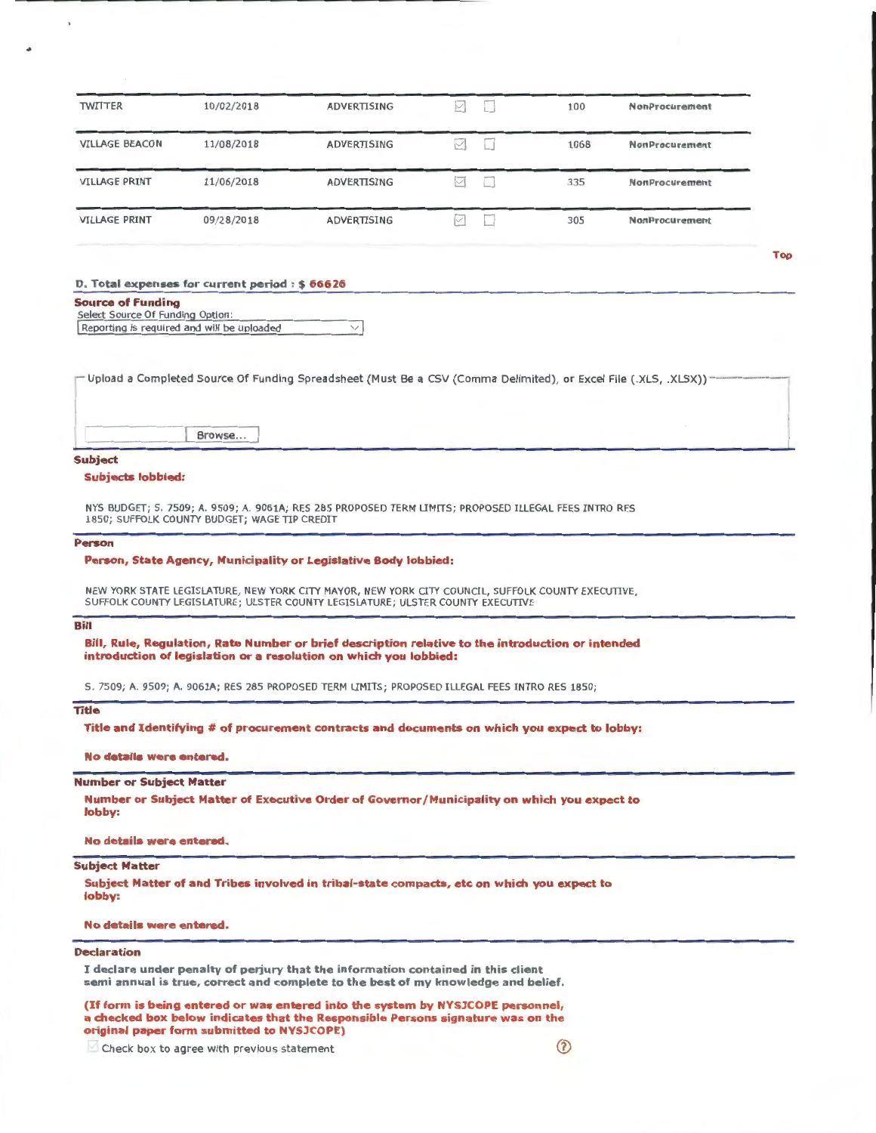| 10/02/2018 | ADVERTISING | ⋉ | 100  | NonProcurement        |
|------------|-------------|---|------|-----------------------|
| 11/08/2018 | ADVERTISING | M | 1068 | <b>NonProcurement</b> |
| 11/06/2018 | ADVERTISING | M | 335  | <b>NonProcurement</b> |
| 09/28/2018 | ADVERTISING | M | 305  | <b>NonProcurement</b> |
|            |             |   |      |                       |

### D. Total expenses for current period: \$ 66626

### Source of Funding

Select Source Of Funding Option: Reporting is required and will be uploaded  $\vee$ 

| - Upload a Completed Source Of Funding Spreadsheet (Must Be a CSV (Comma Delimited), or Excel File (.XLS, .XLSX)) |  |
|-------------------------------------------------------------------------------------------------------------------|--|
|                                                                                                                   |  |

Browse...

### Subject

 $\overline{1}$ 

#### Subjects lobbied:

NYS BUDGET; S. 7509; A. 9509; A. 9061A; RES 285 PROPOSED TERM LIMITS; PROPOSED ILLEGAL FEES INTRO RES 1850; SUFFOLK COUNTY BUDGET; WAGE TIP CREDIT

### Person

### Person, State Agency, Municipality or Legislative Body lobbied:

NEW YORK STATE LEGISLATURE, NEW YORK CITY MAYOR, NEW YORK CITY COUNCIL, SUFFOLK COUNTY EXECUTIVE, SUFFOLK COUNTY LEGISLATURE; ULSTER COUNTY LEGISLATURE; ULSTER COUNTY EXECUTIVE

### Bill

Bill, Rule, Regulation, Rate Number or brief description relative to the introduction or intended introduction of legislation or a resolution on which you lobbied:

S. 7509; A. 9509; A. 9061A; RES 285 PROPOSED TERM LIMITS; PROPOSED ILLEGAL FEES INTRO RES 1850;

## Title

Title and Identifying # of procurement contracts and documents on which you expect to lobby:

## No details were entered.

### Number or Subject Matter

Number or Subject Matter of Executive Order of Governor/Municipality on which you expect to lobby:

#### No details were entered.

### Subject Matter

Subject Matter of and Tribes involved in tribal-state compacts, etc on which you expect to lobby:

#### No details were entered.

### Declaration

I declare under penalty of perjury that the information contained in this client semi annual is true, correct and complete to the best of my knowledge and belief.

(If form is being entered or was entered into the system by NYSJCOPE personnel, a checked box below indicates that the Responsible Persons signature was on the original paper form submitted to NYSJCOPE)

Check box to agree with previous statement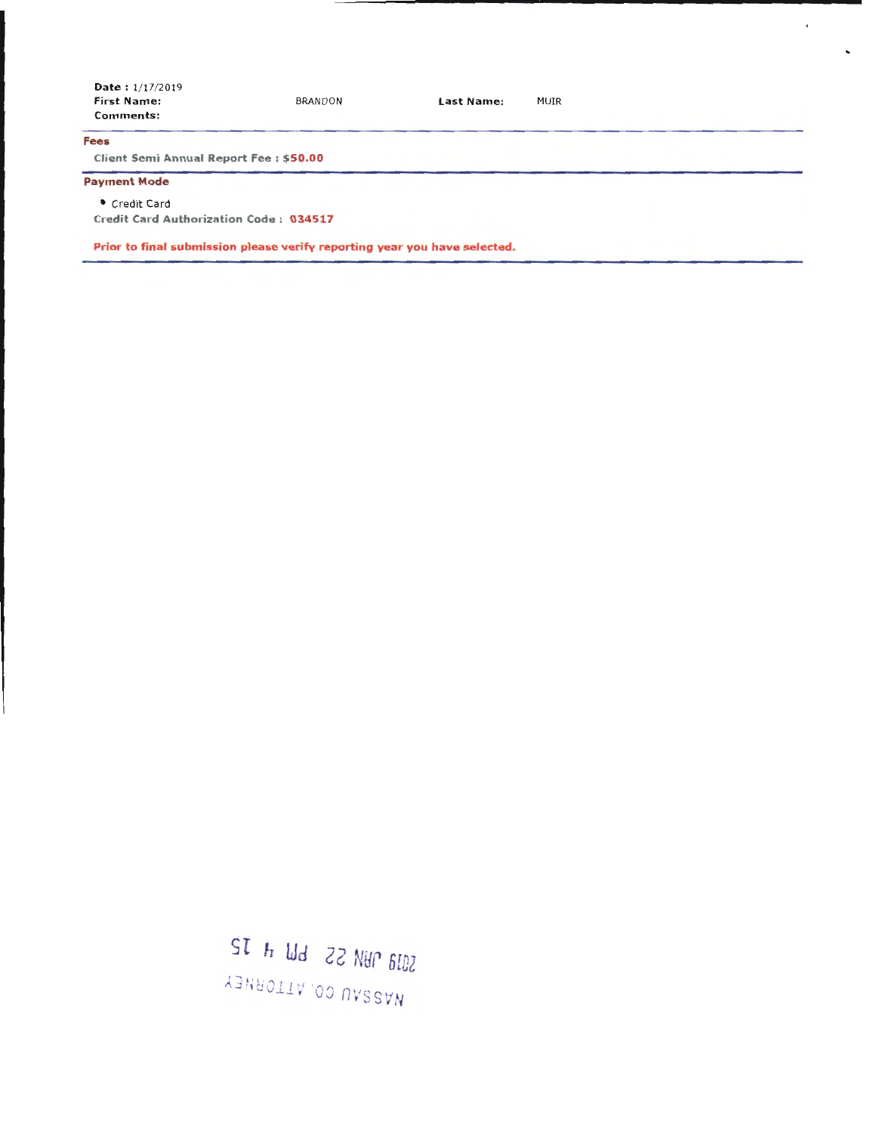| <b>Date:</b> $1/17/2019$<br><b>First Name:</b><br>Comments: | <b>BRANDON</b>                                                            | Last Name: | MUIR |
|-------------------------------------------------------------|---------------------------------------------------------------------------|------------|------|
| <b>Fees</b>                                                 |                                                                           |            |      |
| Client Semi Annual Report Fee: \$50.00                      |                                                                           |            |      |
| <b>Payment Mode</b>                                         |                                                                           |            |      |
| Credit Card                                                 |                                                                           |            |      |
| Credit Card Authorization Code: 034517                      |                                                                           |            |      |
|                                                             | Prior to final submission please verify reporting year you have selected. |            |      |

 $\overline{t}$ 

SOJA NASSAU CO. ATTORNEY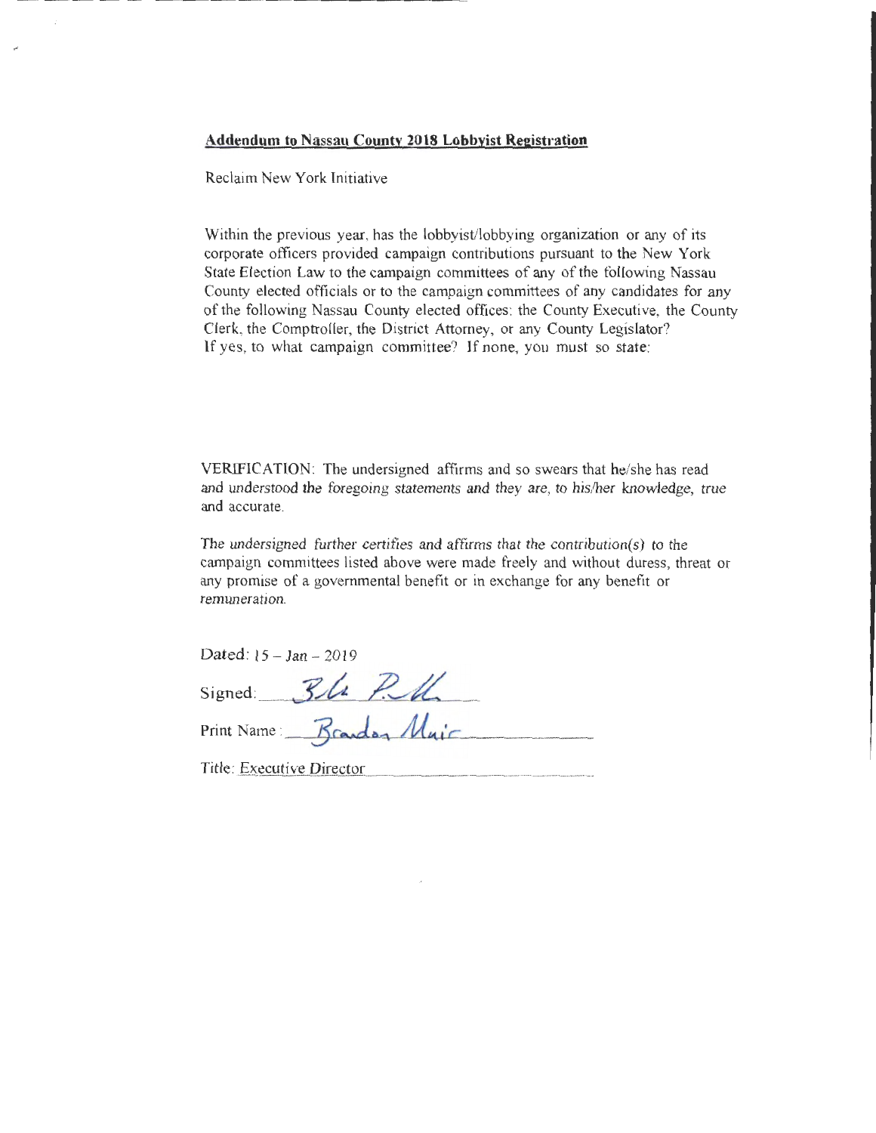Reclaim New York Initiative

Within the previous year, has the lobbyist/lobbying organization or any of its corporate officers provided campaign contributions pursuant to the New York State Election Law to the campaign committees of any of the following Nassau County elected officials or to the campaign committees of any candidates for any of the following Nassau County elected offices: the County Executive, the County Clerk, the Comptroller, the District Attorney, or any County Legislator? If yes, to what campaign committee? If none, you must so state:

VERIFICATION: The undersigned affirms and so swears that he/she has read and understood the foregoing statements and they are, to his/her knowledge, true and accurate.

The undersigned further certifies and affirms that the contribution(s) to the campaign committees listed above were made freely and without duress, threat or any promise of a governmental benefit or in exchange for any benefit or remuneration.

Dated:  $15 - Jan - 2019$ 

| Signed:                   | Ble Pull |  |  |
|---------------------------|----------|--|--|
| Print Name: Brandon Muir  |          |  |  |
| Title: Executive Director |          |  |  |

/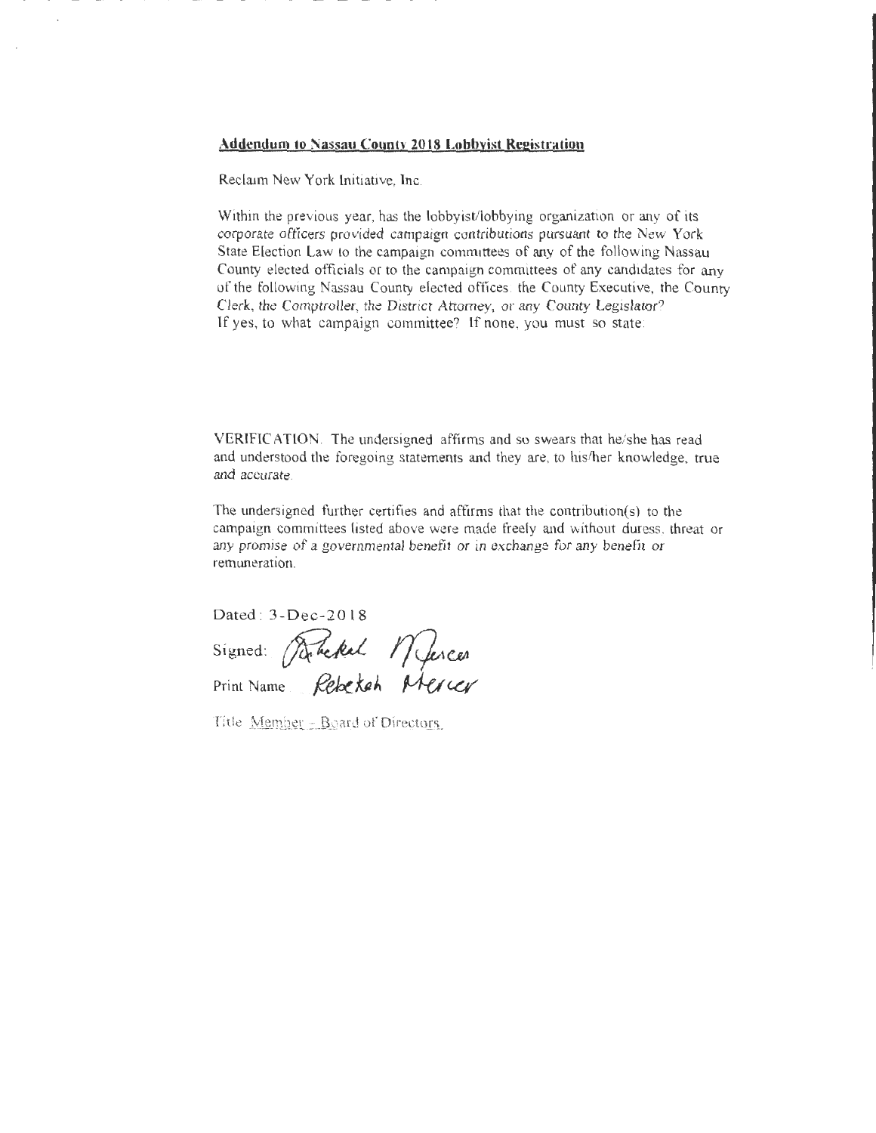Reclaim New York lnitiative, lnc.

Within the previous year, has the lobbyist/lobbying organization or any of its corporate officers provided campaign contributions pursuant to the New York State Election Law to the campaign committees of any of the following Nassau County elected officials or to the campaign committees of any candidates for any of the following Nassau County elected offices: the County Executive, the County Clerk, the Comptroller, the District Attorney, or any County legislator? If yes, to what campaign committee? lf none, you must so state:

VERIFICATION. The undersigned affirms and so swears that he/she has read and understood the foregoing statements and they are, to his/her knowledge, true and accurate.

The undersigned further certifies and affirms that the contribution(s) to the campaign committees listed above were made freely and without duress, threat or any promise of a governmental benefit or in exchange for any benefit or remuneration.

Dated : 3 -Dec-20 l8

Dated: 3-Dec-2018<br>Signed: Reckel Mess Print Name . \_ j?e,k\_~ <sup>A</sup>

Title Member - Board of Directors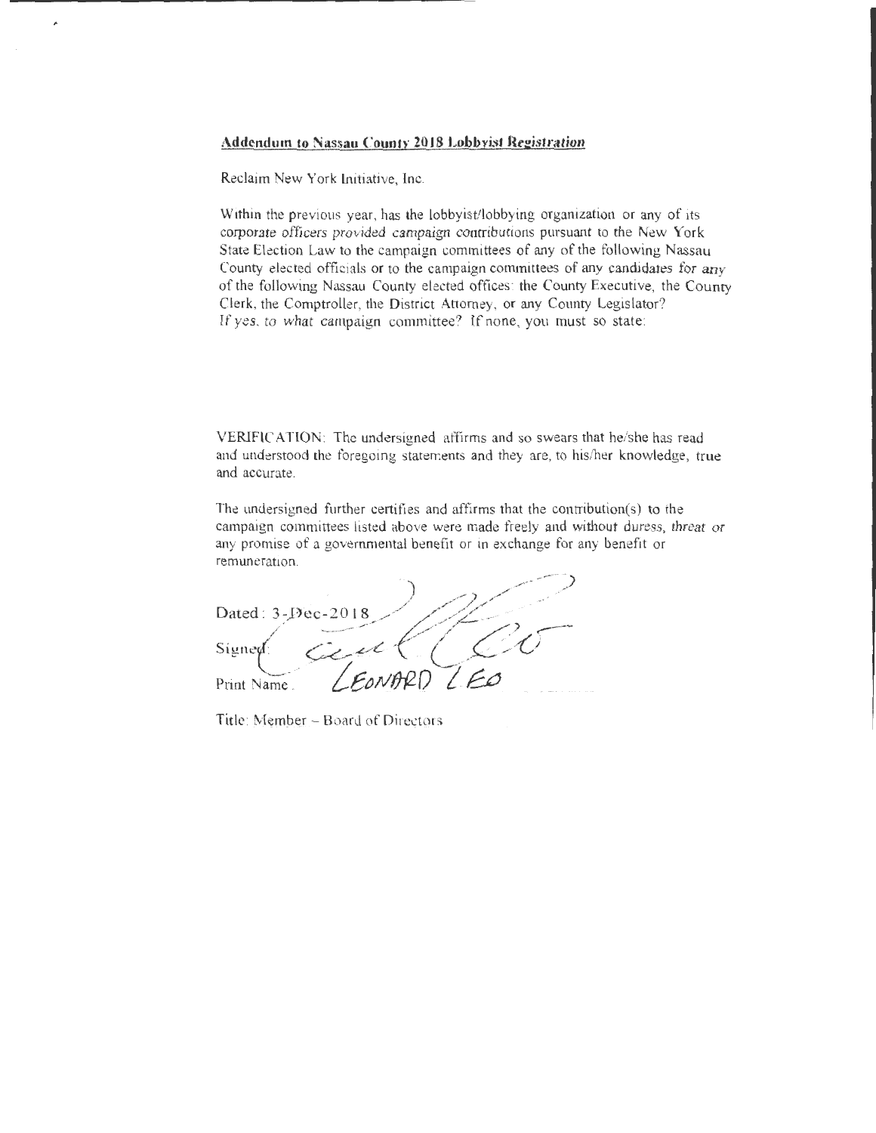Reclaim New York Lnitiative, Inc.

è

Within the previous year, has the lobbyist/lobbying organization or any of its corporate officers provided campaign contributions pursuant to the New York State Election Law to the campaign committees of any of the following Nassau County elected officials or to the campaign committees of any candidates for any of the following Nassau County elected offices: the County Executive, the County Clerk, the Comptroller, the District Attorney, or any County Legislator? If yes. to what campaign committee? If none, you must so state:

VERIFIC ATION: The undersigned affirms and so swears that he/she has read and understood the foregoing statements and they are, to his/her knowledge, true and accurate.

The undersigned further certifies and affirms that the contribution(s) to the campaign committees listed above were made freely and without duress, threat or any promise of a governmental benefit or in exchange for any benefit or remuneration.

Dated: 3-Dec-2018 Print Name.

Title: Member - Board of Directors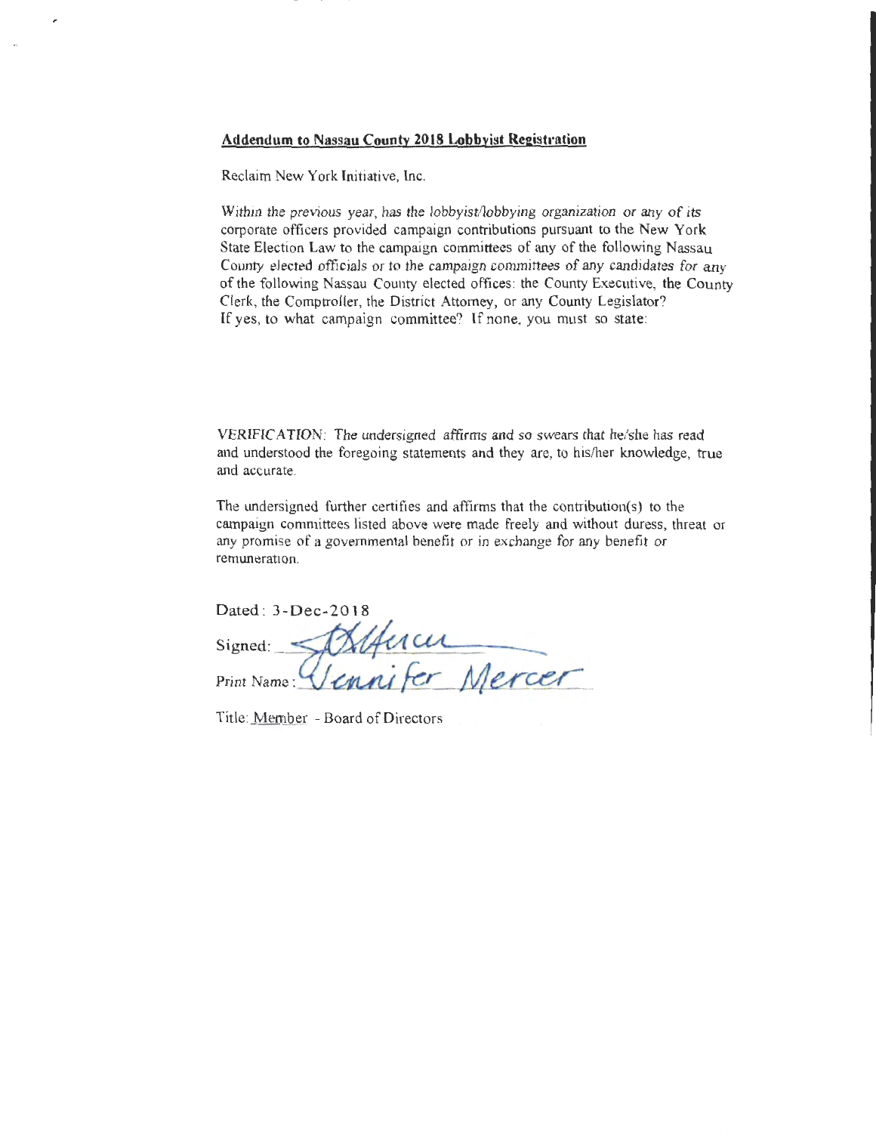Reclaim New York Initiative, Inc.

Within the previous year, has the lobbyist/lobbying organization or any of its corporate officers provided campaign contributions pursuant to the New York State Election Law to the campaign committees of any of the following Nassau County elected officials or to the campaign committees of any candidates for any of the following Nassau County elected offices: the County Executive, the County Clerk, the Comptroller, the District Attorney, or any County Legislator? lf yes, to what campaign committee? If none, you must so state:

VERIFICATION: The undersigned affirms and so swears that he/she has read and understood the foregoing statements and they are, to his/her knowledge, true and accurate.

The undersigned further certifies and affirms that the contribution(s) to the campaign committees listed above were made freely and without duress, threat or any promise of a governmental benefit or in exchange for any benefit or remuneratiOn.

| <u>ivuuuletaa</u>                    |
|--------------------------------------|
| Dated: 3-Dec-2018                    |
| sucu<br>Signed:                      |
| Vennifer 1.<br>lerces<br>Print Name: |

Title: Member - Board of Directors